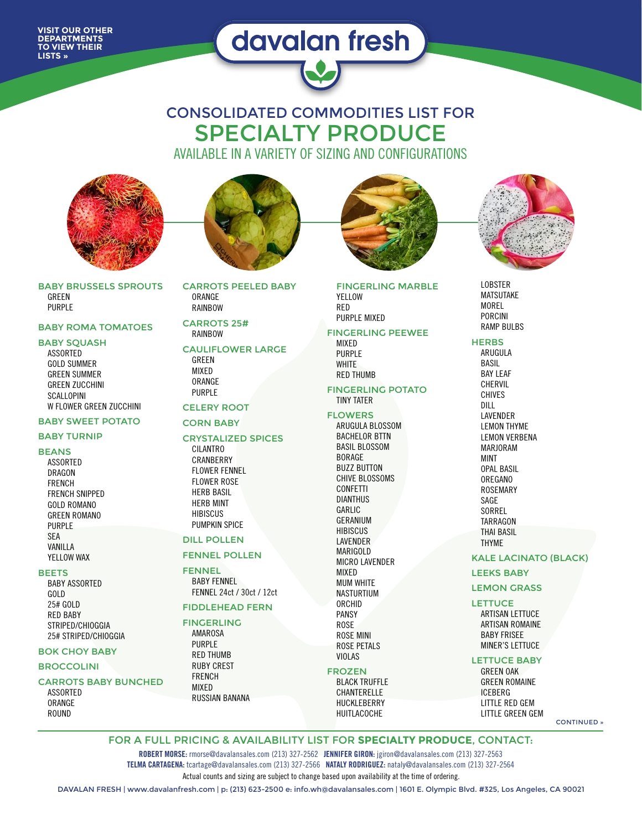**VISIT OUR OTHER DEPARTMENTS TO VIEW THEIR LISTS »**

# davalan fresh



AVAILABLE IN A VARIETY OF SIZING AND CONFIGURATIONS



BABY BRUSSELS SPROUTS **GRFFN** PURPLE

#### BABY ROMA TOMATOES

#### **BABY SOUASH**

ASSORTED GOLD SUMMER GREEN SUMMER GREEN ZUCCHINI SCALLOPINI W FLOWER GREEN ZUCCHINI

### BABY SWEET POTATO

#### BABY TURNIP

BEANS

ASSORTED DRAGON FRENCH FRENCH SNIPPED GOLD ROMANO GREEN ROMANO PURPLE SEA VANILLA YELLOW WAX

#### **BEETS**

BABY ASSORTED GOLD 25# GOLD RED BABY STRIPED/CHIOGGIA 25# STRIPED/CHIOGGIA

#### BOK CHOY BABY

#### **BROCCOLINI**

CARROTS BABY BUNCHED ASSORTED

ORANGE ROUND



CARROTS PEELED BABY ORANGE RAINBOW

#### CARROTS 25# RAINBOW

#### CAULIFLOWER LARGE GREEN MIXED ORANGE

PURPLE CELERY ROOT

#### CORN BABY

#### CRYSTALIZED SPICES

CILANTRO CRANBERRY FLOWER FENNEL FLOWER ROSE HERB BASIL HERB MINT HIBISCUS PUMPKIN SPICE

#### DILL POLLEN

#### FENNEL POLLEN

FENNEL BABY FENNEL FENNEL 24ct / 30ct / 12ct

## FIDDLEHEAD FERN

#### FINGERLING

AMAROSA PURPLE RED THUMB RUBY CREST FRENCH MIXED RUSSIAN BANANA



FINGERLING MARBLE YFLLOW RED PURPLE MIXED

#### FINGERLING PEEWEE

MIXED PURPLE WHITE RED THUMB

#### FINGERLING POTATO TINY TATER

#### FLOWERS

ARUGULA BLOSSOM BACHELOR BTTN BASIL BLOSSOM BORAGE BUZZ BUTTON CHIVE BLOSSOMS CONFETTI DIANTHUS GARLIC GERANIUM **HIBISCUS** LAVENDER MARIGOLD MICRO LAVENDER MIXED MUM WHITE NASTURTIUM ORCHID PANSY ROSE ROSE MINI ROSE PETALS VIOLAS

#### FROZEN

BLACK TRUFFLE CHANTERELLE HUCKLEBERRY HUITLACOCHE



LOBSTER MATSUTAKE MOREL PORCINI RAMP BULBS

#### **HERBS**

ARUGULA BASIL BAY LEAF CHERVIL CHIVES DILL LAVENDER LEMON THYME LEMON VERBENA MARJORAM MINT OPAL BASIL OREGANO ROSEMARY SAGE **SORREL TARRAGON** THAI BASIL THYME

#### KALE LACINATO (BLACK)

LEEKS BABY

#### LEMON GRASS

**LETTUCE** ARTISAN LETTUCE ARTISAN ROMAINE BABY FRISEE MINER'S LETTUCE

# LETTUCE BABY

GREEN OAK GREEN ROMAINE ICEBERG LITTLE RED GEM LITTLE GREEN GEM

CONTINUED »

FOR A FULL PRICING & AVAILABILITY LIST FOR **SPECIALTY PRODUCE**, CONTACT:

Actual counts and sizing are subject to change based upon availability at the time of ordering. **ROBERT MORSE:** rmorse@davalansales.com (213) 327-2562 **JENNIFER GIRON:** jgiron@davalansales.com (213) 327-2563 **TELMA CARTAGENA:** tcartage@davalansales.com (213) 327-2566 **NATALY RODRIGUEZ:** nataly@davalansales.com (213) 327-2564

DAVALAN FRESH | www.davalanfresh.com | p: (213) 623-2500 e: info.wh@davalansales.com | 1601 E. Olympic Blvd. #325, Los Angeles, CA 90021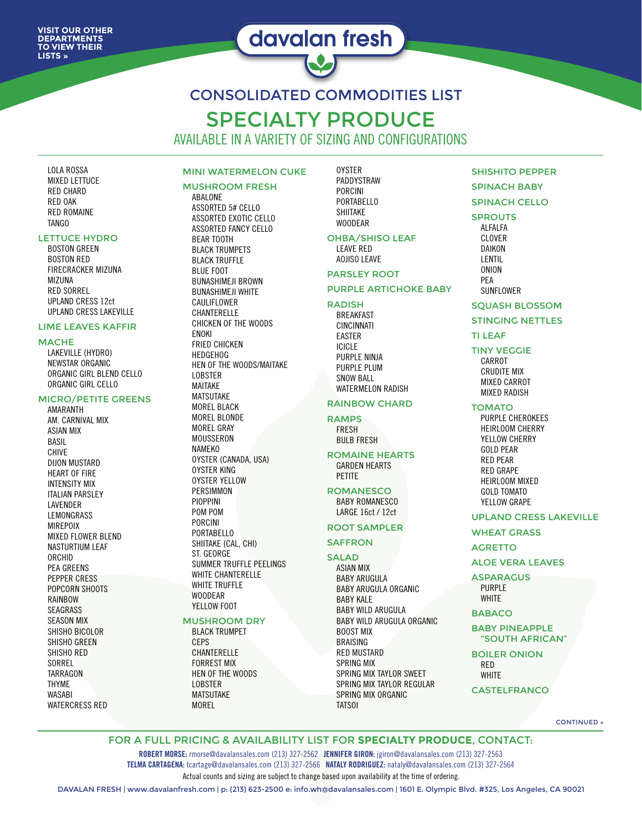# davalan fresh

CONSOLIDATED COMMODITIES LIST SPECIALTY PRODUCE

AVAILABLE IN A VARIETY OF SIZING AND CONFIGURATIONS

LOLA ROSSA MIXED LETTUCE RED CHARD RED OAK RED ROMAINE TANGO

#### LETTUCE HYDRO

BOSTON GREEN BOSTON RED FIRECRACKER MIZUNA MI71INA RED SORREL UPLAND CRESS 12ct UPLAND CRESS LAKEVILLE

#### LIME LEAVES KAFFIR

#### **MACHE**

LAKEVILLE (HYDRO) NEWSTAR ORGANIC ORGANIC GIRL BLEND CELLO ORGANIC GIRL CELLO

#### MICRO/PETITE GREENS

AMARANTH AM. CARNIVAL MIX ASIAN MIX BASIL CHIVE DIJON MUSTARD HEART OF FIRE INTENSITY MIX ITALIAN PARSLEY LAVENDER LEMONGRASS MIREPOIX MIXED FLOWER BLEND NASTURTIUM LEAF ORCHID PEA GREENS PEPPER CRESS POPCORN SHOOTS RAINBOW SEAGRASS SEASON MIX SHISHO BICOLOR SHISHO GREEN SHISHO RED SORREL **TARRAGON** THYME WASABI WATERCRESS RED

# MINI WATERMELON CUKE

# MUSHROOM FRESH

ABALONE ASSORTED 5# CELLO ASSORTED EXOTIC CELLO ASSORTED FANCY CELLO BEAR TOOTH BLACK TRUMPETS BLACK TRUFFLE BLUE FOOT BUNASHIMEJI BROWN BUNASHIMEJI WHITE CAULIFLOWER CHANTERELLE CHICKEN OF THE WOODS ENOKI FRIED CHICKEN HEDGEHOG HEN OF THE WOODS/MAITAKE LOBSTER MAITAKE MATSUTAKE MOREL BLACK MOREL BLONDE MOREL GRAY MOUSSERON NAMEKO OYSTER (CANADA, USA) OYSTER KING OYSTER YELLOW PERSIMMON PIOPPINI POM POM PORCINI PORTABELLO SHIITAKE (CAL, CHI) ST. GEORGE SUMMER TRUFFLE PEELINGS WHITE CHANTERELLE WHITE TRUFFLE WOODEAR YELLOW FOOT

#### MUSHROOM DRY BLACK TRUMPET **CFPS** CHANTERELLE FORREST MIX

HEN OF THE WOODS LOBSTER MATSUTAKE MOREL

**OYSTER** PADDYSTRAW PORCINI PORTABELLO SHIITAKE WOODEAR

#### OHBA/SHISO LEAF

LEAVE RED AOJISO LEAVE

# PARSLEY ROOT

#### PURPLE ARTICHOKE BABY

RADISH

BREAKFAST CINCINNATI EASTER ICICLE PURPLE NINJA PURPLE PLUM SNOW BALL WATERMELON RADISH

#### RAINBOW CHARD

#### RAMPS

FRESH BULB FRESH

#### ROMAINE HEARTS GARDEN HEARTS PETITE

**ROMANESCO** BABY ROMANESCO

LARGE 16ct / 12ct ROOT SAMPLER

# **SAFFRON**

#### SALAD

ASIAN MIX BABY ARUGULA BABY ARUGULA ORGANIC BABY KALE BABY WILD ARUGULA BABY WILD ARUGULA ORGANIC BOOST MIX BRAISING RED MUSTARD SPRING MIX SPRING MIX TAYLOR SWEET SPRING MIX TAYLOR REGULAR SPRING MIX ORGANIC TATSOI

# SHISHITO PEPPER

### SPINACH BABY

## SPINACH CELLO

## SPROUTS

ALFALFA CLOVER DAIKON LENTIL ONION PEA SUNFLOWER

#### SQUASH BLOSSOM

#### STINGING NETTLES

#### TI LEAF

#### TINY VEGGIE

CARROT CRUDITE MIX MIXED CARROT MIXED RADISH

#### **TOMATO**

PURPLE CHEROKEES HEIRLOOM CHERRY YELLOW CHERRY GOLD PEAR RED PEAR RED GRAPE HEIRLOOM MIXED GOLD TOMATO YELLOW GRAPE

#### UPLAND CRESS LAKEVILLE

# WHEAT GRASS

#### AGRETTO

#### ALOE VERA LEAVES

ASPARAGUS PURPLE **WHITE** 

BABACO

#### BABY PINEAPPLE "SOUTH AFRICAN"

#### BOILER ONION RED

**WHITE** 

#### CASTELFRANCO

CONTINUED »

#### FOR A FULL PRICING & AVAILABILITY LIST FOR **SPECIALTY PRODUCE**, CONTACT:

Actual counts and sizing are subject to change based upon availability at the time of ordering. **ROBERT MORSE:** rmorse@davalansales.com (213) 327-2562 **JENNIFER GIRON:** jgiron@davalansales.com (213) 327-2563 **TELMA CARTAGENA:** tcartage@davalansales.com (213) 327-2566 **NATALY RODRIGUEZ:** nataly@davalansales.com (213) 327-2564

DAVALAN FRESH | www.davalanfresh.com | p: (213) 623-2500 e: info.wh@davalansales.com | 1601 E. Olympic Blvd. #325, Los Angeles, CA 90021